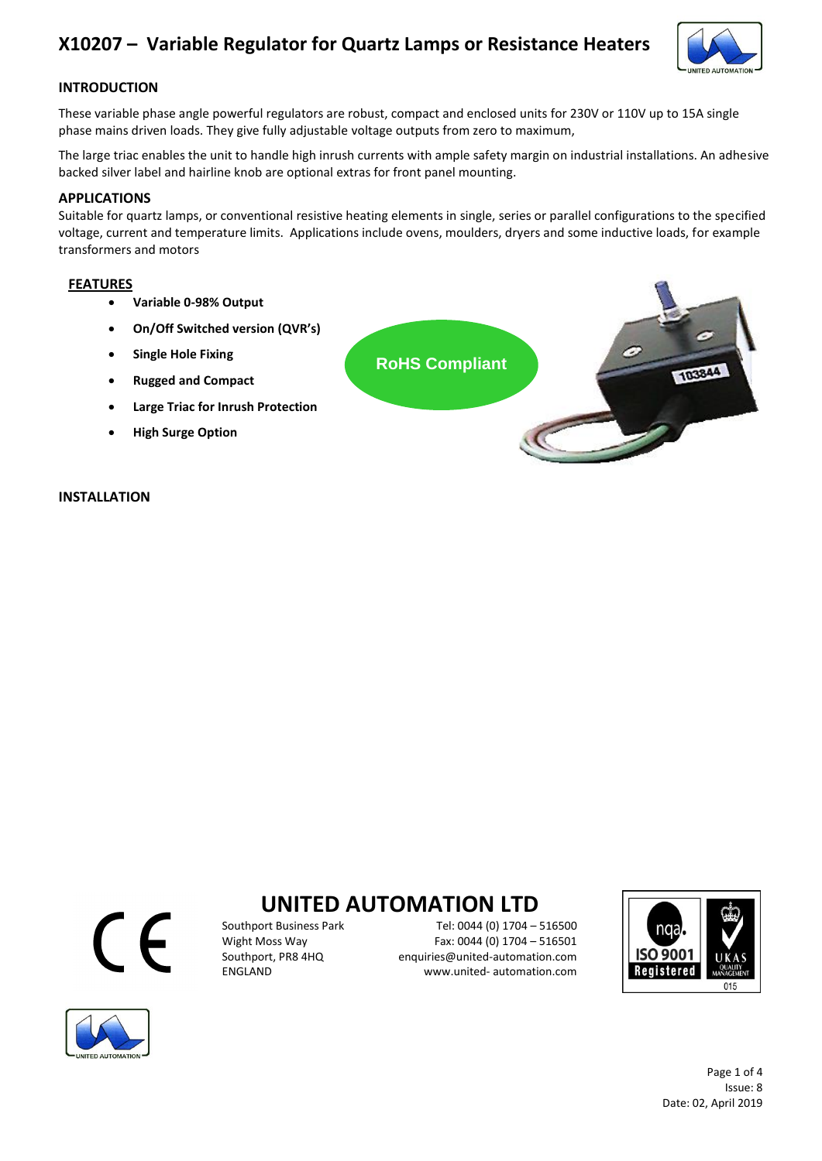

### **INTRODUCTION**

These variable phase angle powerful regulators are robust, compact and enclosed units for 230V or 110V up to 15A single phase mains driven loads. They give fully adjustable voltage outputs from zero to maximum,

The large triac enables the unit to handle high inrush currents with ample safety margin on industrial installations. An adhesive backed silver label and hairline knob are optional extras for front panel mounting.

### **APPLICATIONS**

Suitable for quartz lamps, or conventional resistive heating elements in single, series or parallel configurations to the specified voltage, current and temperature limits. Applications include ovens, moulders, dryers and some inductive loads, for example transformers and motors

### **FEATURES**

- **Variable 0-98% Output**
- **On/Off Switched version (QVR's)**
- **Single Hole Fixing**
- **Rugged and Compact**
- **Large Triac for Inrush Protection**
- **High Surge Option**

### **INSTALLATION**





# **UNITED AUTOMATION LTD**<br>Fel: 0044 (0) 1704 -

Southport Business Park Tel: 0044 (0) 1704 – 516500<br>Wight Moss Way Fax: 0044 (0) 1704 – 516501 Wight Moss Way Fax: 0044 (0) 1704 – 516501<br>Southport, PR8 4HQ enquiries@united-automation.com Southport, PR8 4HQ enquiries@united-automation.com www.united- automation.com



Page 1 of 4 Issue: 8 Date: 02, April 2019

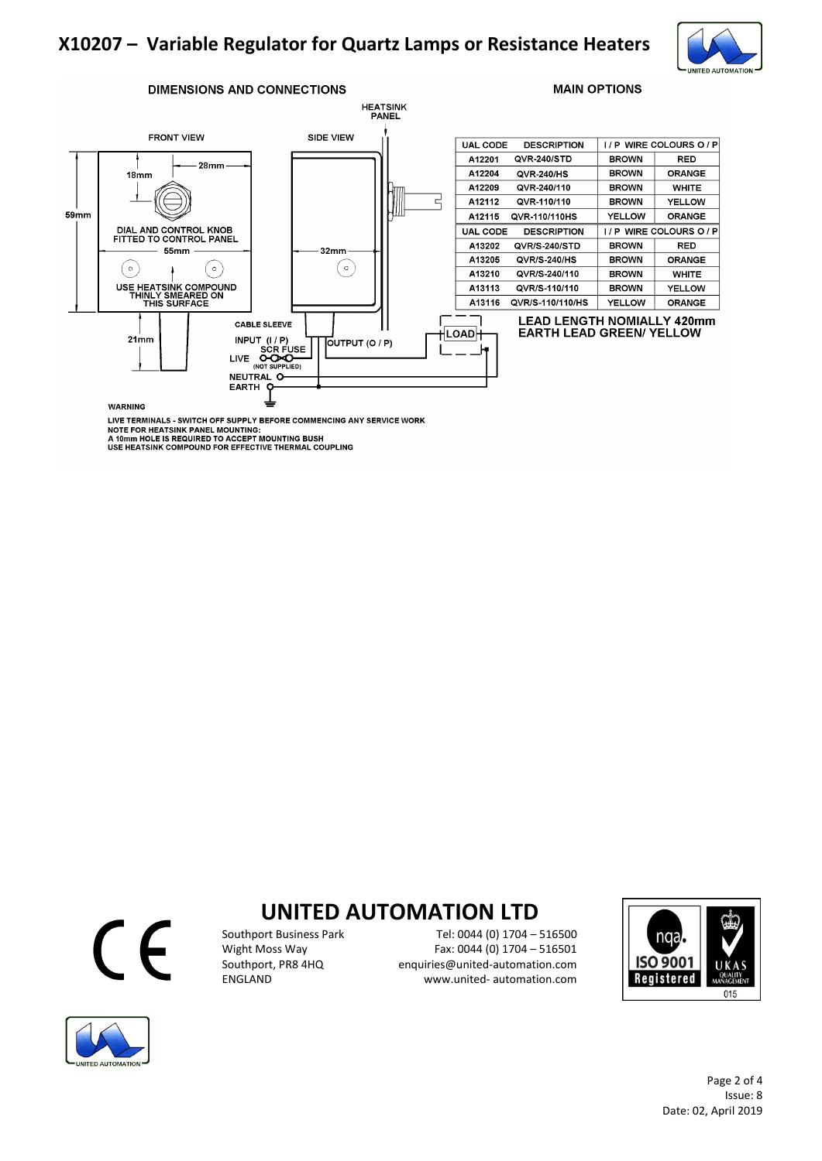

#### **DIMENSIONS AND CONNECTIONS**



| <b>UAL CODE</b> | <b>DESCRIPTION</b> |              | I/P WIRE COLOURS O/P |
|-----------------|--------------------|--------------|----------------------|
| A12201          | QVR-240/STD        | <b>BROWN</b> | RED                  |
| A12204          | <b>QVR-240/HS</b>  | <b>BROWN</b> | ORANGE               |
| A12209          | QVR-240/110        | <b>BROWN</b> | WHITE                |
| A12112          | QVR-110/110        | <b>BROWN</b> | <b>YELLOW</b>        |
| A12115          | QVR-110/110HS      | YELLOW       | ORANGE               |
| <b>UAL CODE</b> | <b>DESCRIPTION</b> | 17 P         | WIRE COLOURS O / P   |
| A13202          | QVR/S-240/STD      | <b>BROWN</b> | RED                  |
| A13205          | QVR/S-240/HS       | BROWN        | <b>ORANGE</b>        |
| A13210          | QVR/S-240/110      | <b>BROWN</b> | <b>WHITE</b>         |
| A13113          | QVR/S-110/110      | BROWN        | <b>YELLOW</b>        |
| A13116          | QVR/S-110/110/HS   | YELLOW       | <b>ORANGE</b>        |
|                 |                    |              |                      |

**MAIN OPTIONS** 

#### **LEAD LENGTH NOMIALLY 420mm EARTH LEAD GREEN/ YELLOW**

**WARNING** 

LIVE TERMINALS - SWITCH OFF SUPPLY BEFORE COMMENCING ANY SERVICE WORK<br>NOTE FOR HEATSINK PANEL MOUNTING:<br>A 10mm HOLE IS REQUIRED TO ACCEPT MOUNTING BUSH<br>USE HEATSINK COMPOUND FOR EFFECTIVE THERMAL COUPLING



## **UNITED AUTOMATION LTD**<br>Fel: 0044 (0) 1704 -

Southport Business Park Tel: 0044 (0) 1704 – 516500<br>Wight Moss Way Fax: 0044 (0) 1704 – 516501 Wight Moss Way Fax: 0044 (0) 1704 – 516501<br>Southport, PR8 4HQ enquiries@united-automation.com enquiries@united-automation.com ENGLAND www.united- automation.com



Page 2 of 4 Issue: 8 Date: 02, April 2019

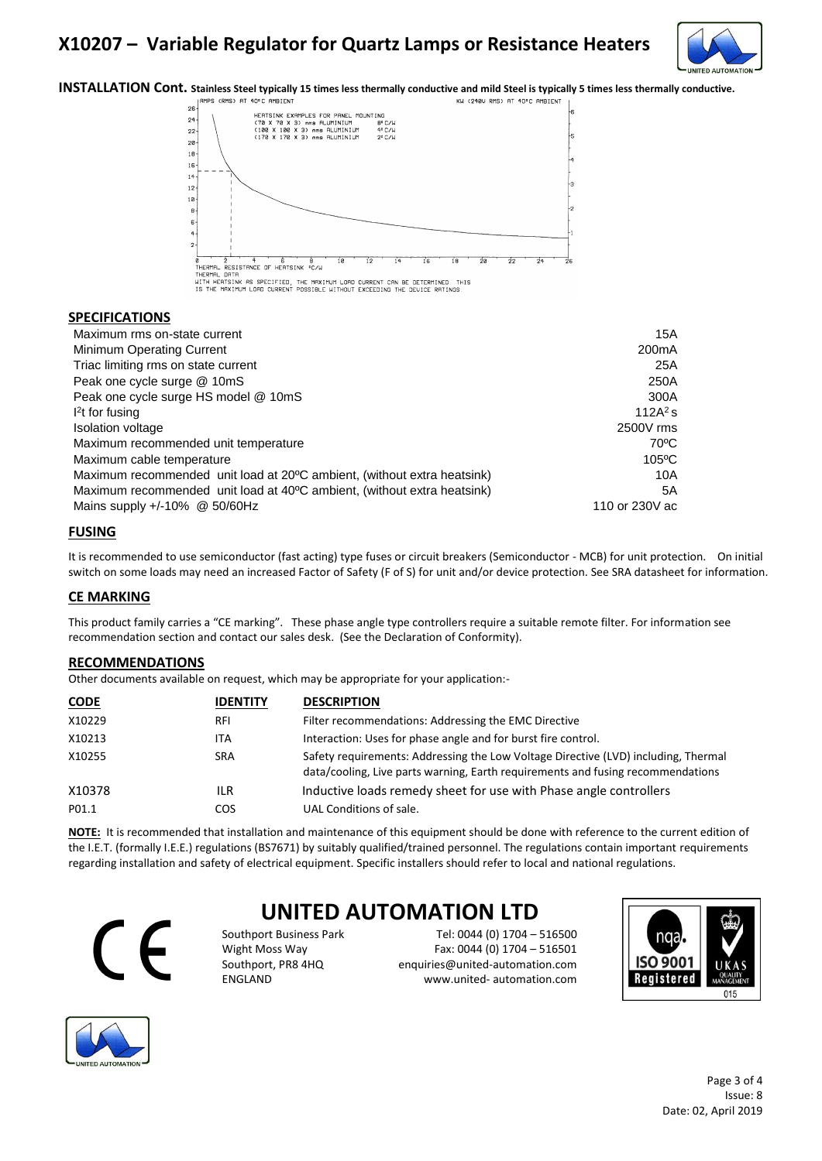

**INSTALLATION Cont.** Stainless Steel typically 15 times less thermally conductive and mild Steel is typically 5 times less thermally conductive.<br>
KU (2480 RMS) AT 40°C AMBIENT 1



#### **SPECIFICATIONS**

| Maximum rms on-state current                                            | 15A                |
|-------------------------------------------------------------------------|--------------------|
| Minimum Operating Current                                               | 200 <sub>m</sub> A |
| Triac limiting rms on state current                                     | 25A                |
| Peak one cycle surge @ 10mS                                             | 250A               |
| Peak one cycle surge HS model @ 10mS                                    | 300A               |
| $l2$ t for fusing                                                       | 112 $A^2$ s        |
| Isolation voltage                                                       | 2500V rms          |
| Maximum recommended unit temperature                                    | $70^{\circ}$ C     |
| Maximum cable temperature                                               | $105\textdegree C$ |
| Maximum recommended unit load at 20°C ambient, (without extra heatsink) | 10A                |
| Maximum recommended unit load at 40°C ambient, (without extra heatsink) | 5A                 |
| Mains supply $+/-10\%$ @ 50/60Hz                                        | 110 or 230V ac     |

### **FUSING**

It is recommended to use semiconductor (fast acting) type fuses or circuit breakers (Semiconductor - MCB) for unit protection. On initial switch on some loads may need an increased Factor of Safety (F of S) for unit and/or device protection. See SRA datasheet for information.

### **CE MARKING**

This product family carries a "CE marking". These phase angle type controllers require a suitable remote filter. For information see recommendation section and contact our sales desk. (See the Declaration of Conformity).

### **RECOMMENDATIONS**

Other documents available on request, which may be appropriate for your application:-

| <b>CODE</b> | <b>IDENTITY</b> | <b>DESCRIPTION</b>                                                                                                                                                    |
|-------------|-----------------|-----------------------------------------------------------------------------------------------------------------------------------------------------------------------|
| X10229      | <b>RFI</b>      | Filter recommendations: Addressing the EMC Directive                                                                                                                  |
| X10213      | <b>ITA</b>      | Interaction: Uses for phase angle and for burst fire control.                                                                                                         |
| X10255      | <b>SRA</b>      | Safety requirements: Addressing the Low Voltage Directive (LVD) including, Thermal<br>data/cooling, Live parts warning, Earth requirements and fusing recommendations |
| X10378      | ILR             | Inductive loads remedy sheet for use with Phase angle controllers                                                                                                     |
| P01.1       | COS.            | UAL Conditions of sale.                                                                                                                                               |

**NOTE:** It is recommended that installation and maintenance of this equipment should be done with reference to the current edition of the I.E.T. (formally I.E.E.) regulations (BS7671) by suitably qualified/trained personnel. The regulations contain important requirements regarding installation and safety of electrical equipment. Specific installers should refer to local and national regulations.



## **UNITED AUTOMATION LTD**

Southport Business Park Tel: 0044 (0) 1704 – 516500 Wight Moss Way Fax: 0044 (0) 1704 – 516501 Southport, PR8 4HQ enquiries@united-automation.com ENGLAND www.united- automation.com





Page 3 of 4 Issue: 8 Date: 02, April 2019